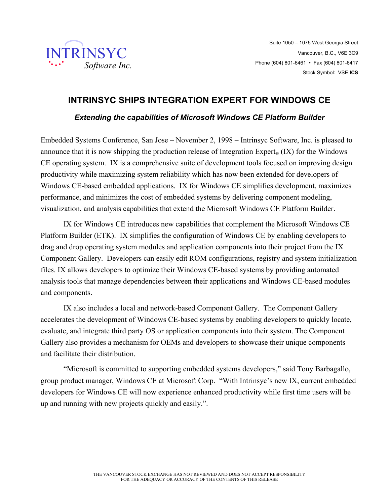

## **INTRINSYC SHIPS INTEGRATION EXPERT FOR WINDOWS CE**

## *Extending the capabilities of Microsoft Windows CE Platform Builder*

Embedded Systems Conference, San Jose – November 2, 1998 – Intrinsyc Software, Inc. is pleased to announce that it is now shipping the production release of Integration Expert<sub>®</sub> (IX) for the Windows CE operating system. IX is a comprehensive suite of development tools focused on improving design productivity while maximizing system reliability which has now been extended for developers of Windows CE-based embedded applications. IX for Windows CE simplifies development, maximizes performance, and minimizes the cost of embedded systems by delivering component modeling, visualization, and analysis capabilities that extend the Microsoft Windows CE Platform Builder.

IX for Windows CE introduces new capabilities that complement the Microsoft Windows CE Platform Builder (ETK). IX simplifies the configuration of Windows CE by enabling developers to drag and drop operating system modules and application components into their project from the IX Component Gallery. Developers can easily edit ROM configurations, registry and system initialization files. IX allows developers to optimize their Windows CE-based systems by providing automated analysis tools that manage dependencies between their applications and Windows CE-based modules and components.

IX also includes a local and network-based Component Gallery. The Component Gallery accelerates the development of Windows CE-based systems by enabling developers to quickly locate, evaluate, and integrate third party OS or application components into their system. The Component Gallery also provides a mechanism for OEMs and developers to showcase their unique components and facilitate their distribution.

"Microsoft is committed to supporting embedded systems developers," said Tony Barbagallo, group product manager, Windows CE at Microsoft Corp. "With Intrinsyc's new IX, current embedded developers for Windows CE will now experience enhanced productivity while first time users will be up and running with new projects quickly and easily.".